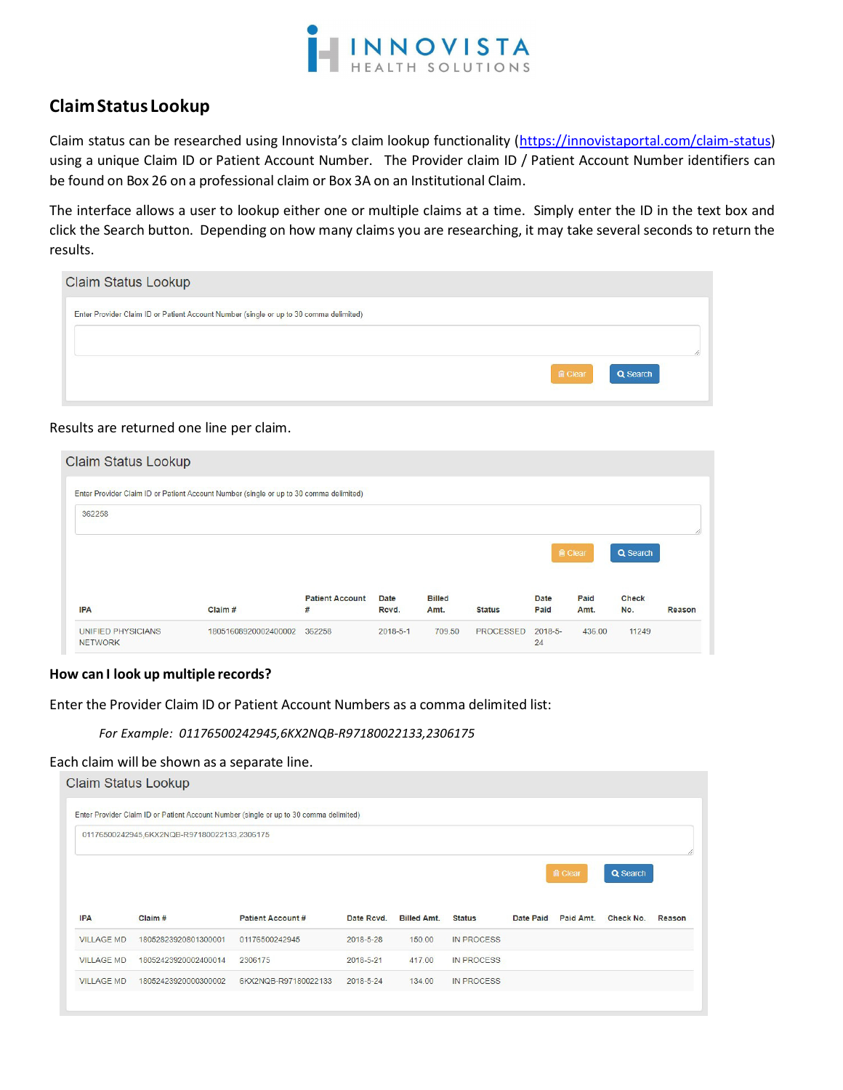

# **Claim Status Lookup**

Claim status can be researched using Innovista's claim lookup functionality (https://innovistaportal.com/claim-status) using a unique Claim ID or Patient Account Number. The Provider claim ID / Patient Account Number identifiers can be found on Box 26 on a professional claim or Box 3A on an Institutional Claim.

The interface allows a user to lookup either one or multiple claims at a time. Simply enter the ID in the text box and click the Search button. Depending on how many claims you are researching, it may take several seconds to return the results.

| <b>Claim Status Lookup</b>                                                             |          |
|----------------------------------------------------------------------------------------|----------|
| Enter Provider Claim ID or Patient Account Number (single or up to 30 comma delimited) |          |
|                                                                                        |          |
| <b>俞 Clear</b>                                                                         | Q Search |

# Results are returned one line per claim.

| Claim Status Lookup                         |                                                                                        |                        |                |               |               |                  |                |              |        |  |
|---------------------------------------------|----------------------------------------------------------------------------------------|------------------------|----------------|---------------|---------------|------------------|----------------|--------------|--------|--|
|                                             | Enter Provider Claim ID or Patient Account Number (single or up to 30 comma delimited) |                        |                |               |               |                  |                |              |        |  |
| 362258                                      |                                                                                        |                        |                |               |               |                  |                |              |        |  |
|                                             |                                                                                        |                        |                |               |               |                  |                |              |        |  |
|                                             |                                                                                        |                        |                |               |               |                  | <b>B</b> Clear | Q Search     |        |  |
|                                             |                                                                                        | <b>Patient Account</b> | <b>Date</b>    | <b>Billed</b> |               | <b>Date</b>      | Paid           | <b>Check</b> |        |  |
| <b>IPA</b>                                  | Claim#                                                                                 | #                      | Rcvd.          | Amt.          | <b>Status</b> | Paid             | Amt.           | No.          | Reason |  |
| <b>UNIFIED PHYSICIANS</b><br><b>NETWORK</b> | 18051608920002400002                                                                   | 362258                 | $2018 - 5 - 1$ | 709.50        | PROCESSED     | $2018 - 5$<br>24 | 436.00         | 11249        |        |  |

# **How can I look up multiple records?**

Enter the Provider Claim ID or Patient Account Numbers as a comma delimited list:

#### *For Example: 01176500242945,6KX2NQB-R97180022133,2306175*

#### Each claim will be shown as a separate line.

|                   | Claim Status Lookup                         |                                                                                        |            |                    |                   |           |                |           |        |
|-------------------|---------------------------------------------|----------------------------------------------------------------------------------------|------------|--------------------|-------------------|-----------|----------------|-----------|--------|
|                   |                                             | Enter Provider Claim ID or Patient Account Number (single or up to 30 comma delimited) |            |                    |                   |           |                |           |        |
|                   | 01176500242945,6KX2NQB-R97180022133,2306175 |                                                                                        |            |                    |                   |           |                |           |        |
|                   |                                             |                                                                                        |            |                    |                   |           | <b>俞 Clear</b> | Q Search  |        |
| <b>IPA</b>        | Claim #                                     | <b>Patient Account #</b>                                                               | Date Rcvd. | <b>Billed Amt.</b> | <b>Status</b>     | Date Paid | Paid Amt.      | Check No. | Reason |
| <b>VILLAGE MD</b> | 18052823920801300001                        | 01176500242945                                                                         | 2018-5-28  | 150.00             | <b>IN PROCESS</b> |           |                |           |        |
| <b>VILLAGE MD</b> | 18052423920002400014                        | 2306175                                                                                | 2018-5-21  | 417.00             | <b>IN PROCESS</b> |           |                |           |        |
| <b>VILLAGE MD</b> | 18052423920000300002                        | 6KX2NQB-R97180022133                                                                   | 2018-5-24  | 134.00             | <b>IN PROCESS</b> |           |                |           |        |